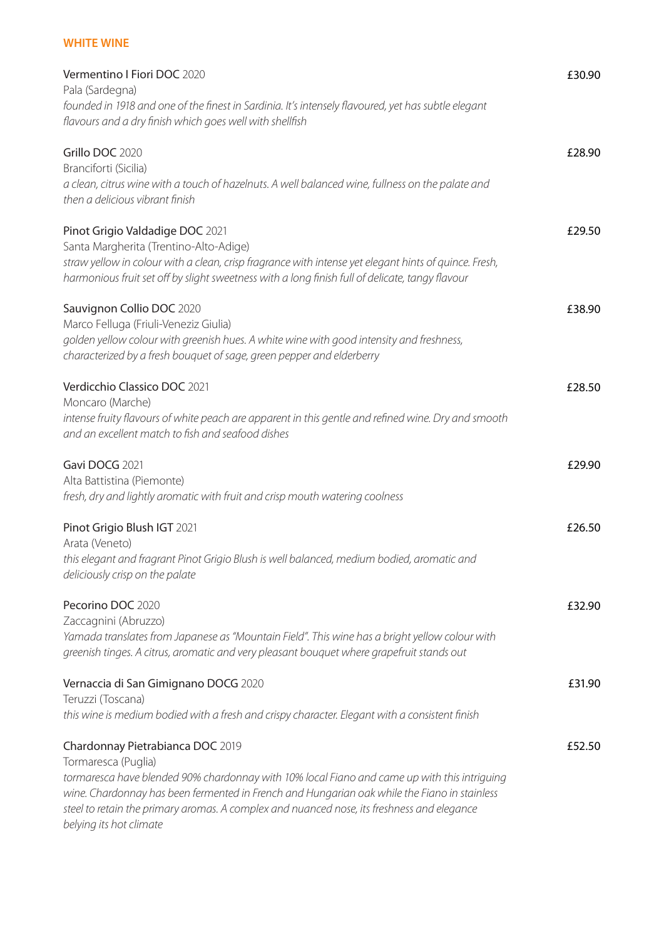# **WHITE WINE**

| Vermentino I Fiori DOC 2020<br>Pala (Sardegna)                                                                                                                                                                                                                                                                        | £30.90 |
|-----------------------------------------------------------------------------------------------------------------------------------------------------------------------------------------------------------------------------------------------------------------------------------------------------------------------|--------|
| founded in 1918 and one of the finest in Sardinia. It's intensely flavoured, yet has subtle elegant<br>flavours and a dry finish which goes well with shellfish                                                                                                                                                       |        |
| Grillo DOC 2020<br>Branciforti (Sicilia)                                                                                                                                                                                                                                                                              | £28.90 |
| a clean, citrus wine with a touch of hazelnuts. A well balanced wine, fullness on the palate and<br>then a delicious vibrant finish                                                                                                                                                                                   |        |
| Pinot Grigio Valdadige DOC 2021<br>Santa Margherita (Trentino-Alto-Adige)                                                                                                                                                                                                                                             | £29.50 |
| straw yellow in colour with a clean, crisp fragrance with intense yet elegant hints of quince. Fresh,<br>harmonious fruit set off by slight sweetness with a long finish full of delicate, tangy flavour                                                                                                              |        |
| Sauvignon Collio DOC 2020<br>Marco Felluga (Friuli-Veneziz Giulia)                                                                                                                                                                                                                                                    | £38.90 |
| golden yellow colour with greenish hues. A white wine with good intensity and freshness,<br>characterized by a fresh bouquet of sage, green pepper and elderberry                                                                                                                                                     |        |
| Verdicchio Classico DOC 2021<br>Moncaro (Marche)                                                                                                                                                                                                                                                                      | £28.50 |
| intense fruity flavours of white peach are apparent in this gentle and refined wine. Dry and smooth<br>and an excellent match to fish and seafood dishes                                                                                                                                                              |        |
| Gavi DOCG 2021<br>Alta Battistina (Piemonte)                                                                                                                                                                                                                                                                          | £29.90 |
| fresh, dry and lightly aromatic with fruit and crisp mouth watering coolness                                                                                                                                                                                                                                          |        |
| Pinot Grigio Blush IGT 2021<br>Arata (Veneto)                                                                                                                                                                                                                                                                         | £26.50 |
| this elegant and fragrant Pinot Grigio Blush is well balanced, medium bodied, aromatic and<br>deliciously crisp on the palate                                                                                                                                                                                         |        |
| Pecorino DOC 2020                                                                                                                                                                                                                                                                                                     | £32.90 |
| Zaccagnini (Abruzzo)<br>Yamada translates from Japanese as "Mountain Field". This wine has a bright yellow colour with<br>greenish tinges. A citrus, aromatic and very pleasant bouquet where grapefruit stands out                                                                                                   |        |
| Vernaccia di San Gimignano DOCG 2020                                                                                                                                                                                                                                                                                  | £31.90 |
| Teruzzi (Toscana)<br>this wine is medium bodied with a fresh and crispy character. Elegant with a consistent finish                                                                                                                                                                                                   |        |
| Chardonnay Pietrabianca DOC 2019<br>Tormaresca (Puglia)                                                                                                                                                                                                                                                               | £52.50 |
| tormaresca have blended 90% chardonnay with 10% local Fiano and came up with this intriguing<br>wine. Chardonnay has been fermented in French and Hungarian oak while the Fiano in stainless<br>steel to retain the primary aromas. A complex and nuanced nose, its freshness and elegance<br>belying its hot climate |        |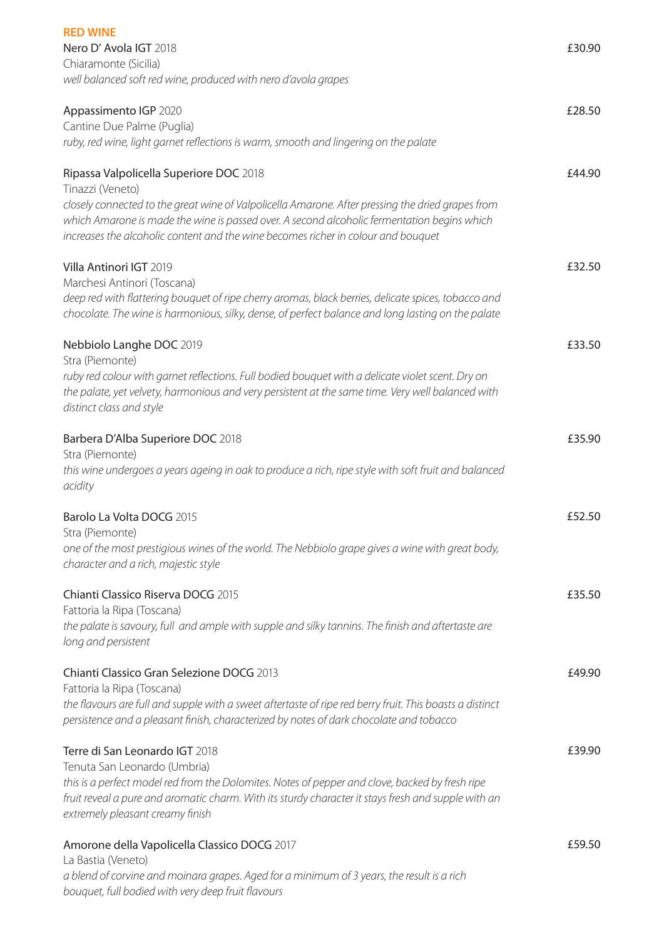| <b>RED WINE</b><br>Nero D' Avola IGT 2018<br>Chiaramonte (Sicilia)                                                                                                                                                                                                                                                                                   | £30.90 |
|------------------------------------------------------------------------------------------------------------------------------------------------------------------------------------------------------------------------------------------------------------------------------------------------------------------------------------------------------|--------|
| well balanced soft red wine, produced with nero d'avola grapes                                                                                                                                                                                                                                                                                       |        |
| Appassimento IGP 2020<br>Cantine Due Palme (Puglia)<br>ruby, red wine, light garnet reflections is warm, smooth and lingering on the palate                                                                                                                                                                                                          | £28.50 |
| Ripassa Valpolicella Superiore DOC 2018<br>Tinazzi (Veneto)<br>closely connected to the great wine of Valpolicella Amarone. After pressing the dried grapes from<br>which Amarone is made the wine is passed over. A second alcoholic fermentation begins which<br>increases the alcoholic content and the wine becomes richer in colour and bouquet | £44.90 |
| Villa Antinori IGT 2019<br>Marchesi Antinori (Toscana)<br>deep red with flattering bouquet of ripe cherry aromas, black berries, delicate spices, tobacco and<br>chocolate. The wine is harmonious, silky, dense, of perfect balance and long lasting on the palate                                                                                  | £32.50 |
| Nebbiolo Langhe DOC 2019<br>Stra (Piemonte)<br>ruby red colour with garnet reflections. Full bodied bouquet with a delicate violet scent. Dry on<br>the palate, yet velvety, harmonious and very persistent at the same time. Very well balanced with<br>distinct class and style                                                                    | £33.50 |
| Barbera D'Alba Superiore DOC 2018<br>Stra (Piemonte)<br>this wine undergoes a years ageing in oak to produce a rich, ripe style with soft fruit and balanced<br>acidity                                                                                                                                                                              | £35.90 |
| Barolo La Volta DOCG 2015<br>Stra (Piemonte)<br>one of the most prestigious wines of the world. The Nebbiolo grape gives a wine with great body,<br>character and a rich, majestic style                                                                                                                                                             | £52.50 |
| Chianti Classico Riserva DOCG 2015<br>Fattoria la Ripa (Toscana)<br>the palate is savoury, full and ample with supple and silky tannins. The finish and aftertaste are<br>long and persistent                                                                                                                                                        | £35.50 |
| Chianti Classico Gran Selezione DOCG 2013<br>Fattoria la Ripa (Toscana)<br>the flavours are full and supple with a sweet aftertaste of ripe red berry fruit. This boasts a distinct<br>persistence and a pleasant finish, characterized by notes of dark chocolate and tobacco                                                                       | £49.90 |
| Terre di San Leonardo IGT 2018<br>Tenuta San Leonardo (Umbria)<br>this is a perfect model red from the Dolomites. Notes of pepper and clove, backed by fresh ripe<br>fruit reveal a pure and aromatic charm. With its sturdy character it stays fresh and supple with an<br>extremely pleasant creamy finish                                         | £39.90 |
| Amorone della Vapolicella Classico DOCG 2017<br>La Bastia (Veneto)<br>a blend of corvine and moinara grapes. Aged for a minimum of 3 years, the result is a rich<br>bouquet, full bodied with very deep fruit flavours                                                                                                                               | £59.50 |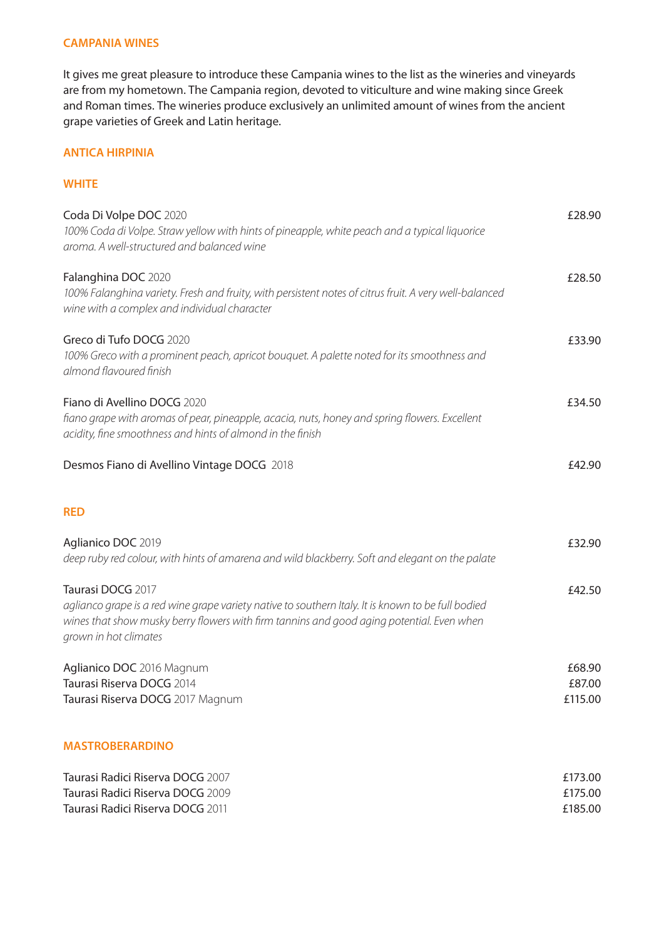#### **CAMPANIA WINES**

It gives me great pleasure to introduce these Campania wines to the list as the wineries and vineyards are from my hometown. The Campania region, devoted to viticulture and wine making since Greek and Roman times. The wineries produce exclusively an unlimited amount of wines from the ancient grape varieties of Greek and Latin heritage.

#### **ANTICA HIRPINIA**

#### **WHITE**

| Coda Di Volpe DOC 2020<br>100% Coda di Volpe. Straw yellow with hints of pineapple, white peach and a typical liquorice<br>aroma. A well-structured and balanced wine                                                                         | £28.90                        |
|-----------------------------------------------------------------------------------------------------------------------------------------------------------------------------------------------------------------------------------------------|-------------------------------|
| Falanghina DOC 2020<br>100% Falanghina variety. Fresh and fruity, with persistent notes of citrus fruit. A very well-balanced<br>wine with a complex and individual character                                                                 | £28.50                        |
| Greco di Tufo DOCG 2020<br>100% Greco with a prominent peach, apricot bouquet. A palette noted for its smoothness and<br>almond flavoured finish                                                                                              | £33.90                        |
| Fiano di Avellino DOCG 2020<br>fiano grape with aromas of pear, pineapple, acacia, nuts, honey and spring flowers. Excellent<br>acidity, fine smoothness and hints of almond in the finish                                                    | £34.50                        |
| Desmos Fiano di Avellino Vintage DOCG 2018                                                                                                                                                                                                    | £42.90                        |
| <b>RED</b>                                                                                                                                                                                                                                    |                               |
| Aglianico DOC 2019<br>deep ruby red colour, with hints of amarena and wild blackberry. Soft and elegant on the palate                                                                                                                         | £32.90                        |
| Taurasi DOCG 2017<br>aglianco grape is a red wine grape variety native to southern Italy. It is known to be full bodied<br>wines that show musky berry flowers with firm tannins and good aging potential. Even when<br>grown in hot climates | £42.50                        |
| Aglianico DOC 2016 Magnum<br>Taurasi Riserva DOCG 2014<br>Taurasi Riserva DOCG 2017 Magnum                                                                                                                                                    | £68.90<br>£87.00<br>£115.00   |
| <b>MASTROBERARDINO</b>                                                                                                                                                                                                                        |                               |
| Taurasi Radici Riserva DOCG 2007<br>Taurasi Radici Riserva DOCG 2009<br>Taurasi Radici Riserva DOCG 2011                                                                                                                                      | £173.00<br>£175.00<br>£185.00 |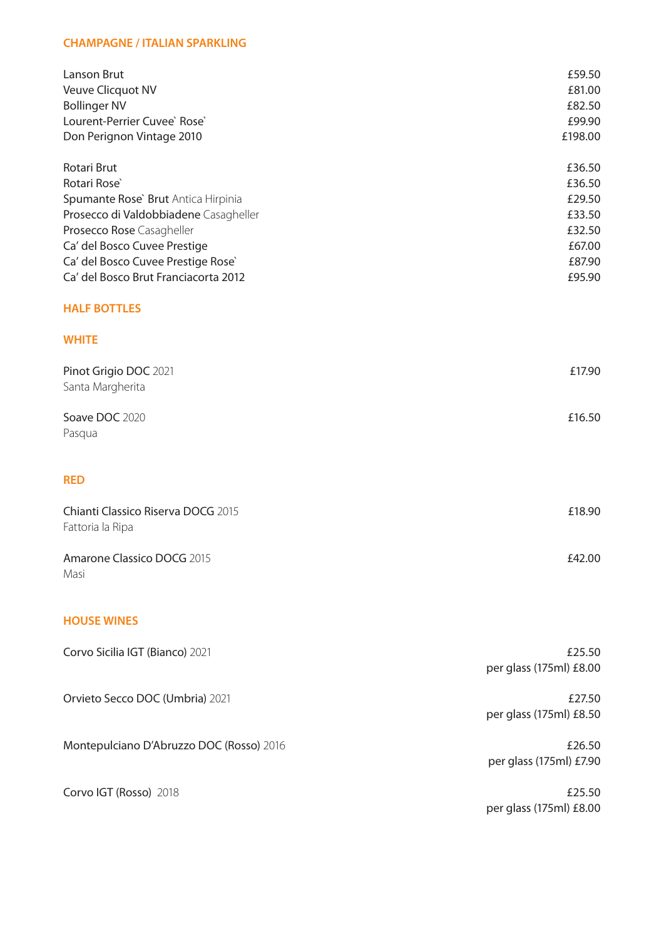#### **CHAMPAGNE / ITALIAN SPARKLING**

| Lanson Brut<br>Veuve Clicquot NV<br><b>Bollinger NV</b><br>Lourent-Perrier Cuvee` Rose`<br>Don Perignon Vintage 2010                                                                                                                                               | £59.50<br>£81.00<br>£82.50<br>£99.90<br>£198.00                              |
|--------------------------------------------------------------------------------------------------------------------------------------------------------------------------------------------------------------------------------------------------------------------|------------------------------------------------------------------------------|
| Rotari Brut<br>Rotari Rose <sup>®</sup><br>Spumante Rose' Brut Antica Hirpinia<br>Prosecco di Valdobbiadene Casagheller<br>Prosecco Rose Casagheller<br>Ca' del Bosco Cuvee Prestige<br>Ca' del Bosco Cuvee Prestige Rose'<br>Ca' del Bosco Brut Franciacorta 2012 | £36.50<br>£36.50<br>£29.50<br>£33.50<br>£32.50<br>£67.00<br>£87.90<br>£95.90 |
| <b>HALF BOTTLES</b>                                                                                                                                                                                                                                                |                                                                              |
| <b>WHITE</b>                                                                                                                                                                                                                                                       |                                                                              |
| Pinot Grigio DOC 2021<br>Santa Margherita                                                                                                                                                                                                                          | £17.90                                                                       |
| Soave DOC 2020<br>Pasqua                                                                                                                                                                                                                                           | £16.50                                                                       |
| <b>RED</b>                                                                                                                                                                                                                                                         |                                                                              |
| Chianti Classico Riserva DOCG 2015<br>Fattoria la Ripa                                                                                                                                                                                                             | £18.90                                                                       |
| Amarone Classico DOCG 2015<br>Masi                                                                                                                                                                                                                                 | £42.00                                                                       |
| <b>HOUSE WINES</b>                                                                                                                                                                                                                                                 |                                                                              |
| Corvo Sicilia IGT (Bianco) 2021                                                                                                                                                                                                                                    | £25.50<br>per glass (175ml) £8.00                                            |
| Orvieto Secco DOC (Umbria) 2021                                                                                                                                                                                                                                    | £27.50<br>per glass (175ml) £8.50                                            |
| Montepulciano D'Abruzzo DOC (Rosso) 2016                                                                                                                                                                                                                           | £26.50<br>per glass (175ml) £7.90                                            |
| Corvo IGT (Rosso) 2018                                                                                                                                                                                                                                             | £25.50                                                                       |

£25.50 per glass (175ml) £8.00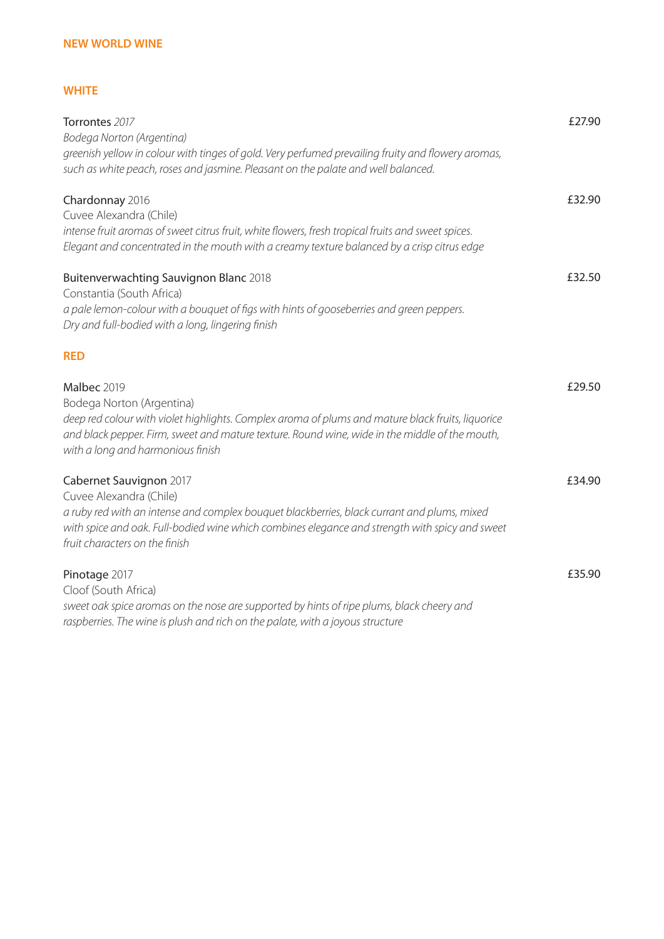## **NEW WORLD WINE**

## **WHITE**

| Torrontes 2017<br>Bodega Norton (Argentina)                                                                                                                                                                                                                           | £27.90 |
|-----------------------------------------------------------------------------------------------------------------------------------------------------------------------------------------------------------------------------------------------------------------------|--------|
| greenish yellow in colour with tinges of gold. Very perfumed prevailing fruity and flowery aromas,<br>such as white peach, roses and jasmine. Pleasant on the palate and well balanced.                                                                               |        |
| Chardonnay 2016                                                                                                                                                                                                                                                       | £32.90 |
| Cuvee Alexandra (Chile)                                                                                                                                                                                                                                               |        |
| intense fruit aromas of sweet citrus fruit, white flowers, fresh tropical fruits and sweet spices.<br>Elegant and concentrated in the mouth with a creamy texture balanced by a crisp citrus edge                                                                     |        |
| <b>Buitenverwachting Sauvignon Blanc 2018</b><br>Constantia (South Africa)                                                                                                                                                                                            | £32.50 |
| a pale lemon-colour with a bouquet of figs with hints of gooseberries and green peppers.<br>Dry and full-bodied with a long, lingering finish                                                                                                                         |        |
| <b>RED</b>                                                                                                                                                                                                                                                            |        |
| Malbec 2019                                                                                                                                                                                                                                                           | £29.50 |
| Bodega Norton (Argentina)<br>deep red colour with violet highlights. Complex aroma of plums and mature black fruits, liquorice<br>and black pepper. Firm, sweet and mature texture. Round wine, wide in the middle of the mouth,<br>with a long and harmonious finish |        |
| Cabernet Sauvignon 2017<br>Cuvee Alexandra (Chile)                                                                                                                                                                                                                    | £34.90 |
| a ruby red with an intense and complex bouquet blackberries, black currant and plums, mixed<br>with spice and oak. Full-bodied wine which combines elegance and strength with spicy and sweet                                                                         |        |
| fruit characters on the finish                                                                                                                                                                                                                                        |        |
| Pinotage 2017                                                                                                                                                                                                                                                         | £35.90 |
| Cloof (South Africa)                                                                                                                                                                                                                                                  |        |
| sweet oak spice aromas on the nose are supported by hints of ripe plums, black cheery and                                                                                                                                                                             |        |

*raspberries. The wine is plush and rich on the palate, with a joyous structure*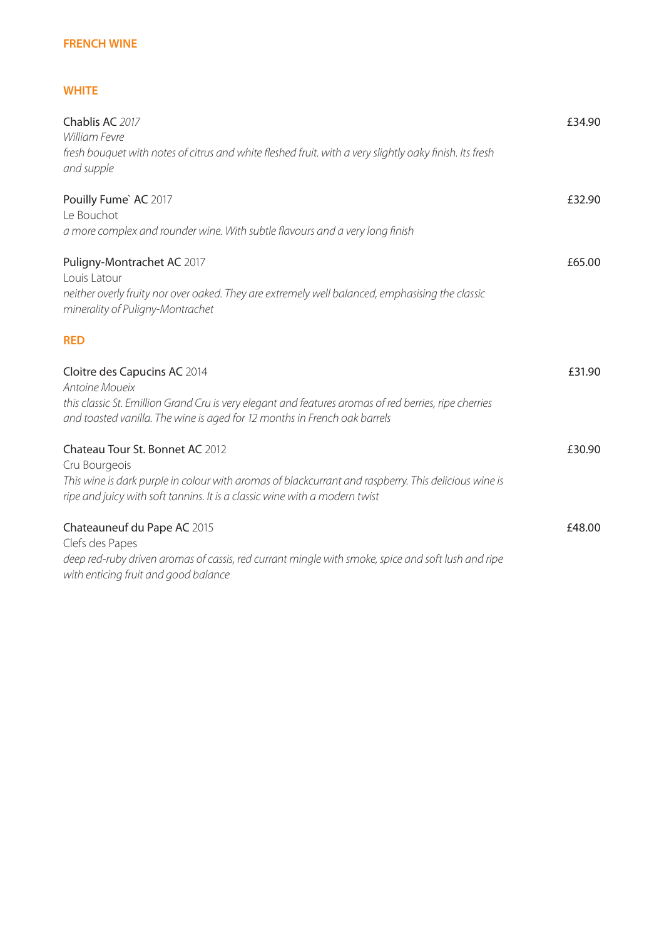## **FRENCH WINE**

## **WHITE**

| Chablis AC 2017<br>William Fevre<br>fresh bouquet with notes of citrus and white fleshed fruit. with a very slightly oaky finish. Its fresh<br>and supple                                                                              | £34.90 |
|----------------------------------------------------------------------------------------------------------------------------------------------------------------------------------------------------------------------------------------|--------|
| Pouilly Fume` AC 2017<br>Le Bouchot<br>a more complex and rounder wine. With subtle flavours and a very long finish                                                                                                                    | £32.90 |
| Puligny-Montrachet AC 2017<br>Louis Latour<br>neither overly fruity nor over oaked. They are extremely well balanced, emphasising the classic<br>minerality of Puligny-Montrachet                                                      | £65.00 |
| <b>RED</b>                                                                                                                                                                                                                             |        |
| Cloitre des Capucins AC 2014<br>Antoine Moueix<br>this classic St. Emillion Grand Cru is very elegant and features aromas of red berries, ripe cherries<br>and toasted vanilla. The wine is aged for 12 months in French oak barrels   | £31.90 |
| Chateau Tour St. Bonnet AC 2012<br>Cru Bourgeois<br>This wine is dark purple in colour with aromas of blackcurrant and raspberry. This delicious wine is<br>ripe and juicy with soft tannins. It is a classic wine with a modern twist | £30.90 |
| Chateauneuf du Pape AC 2015<br>Clefs des Papes<br>deep red-ruby driven aromas of cassis, red currant mingle with smoke, spice and soft lush and ripe<br>with enticing fruit and good balance                                           | £48.00 |